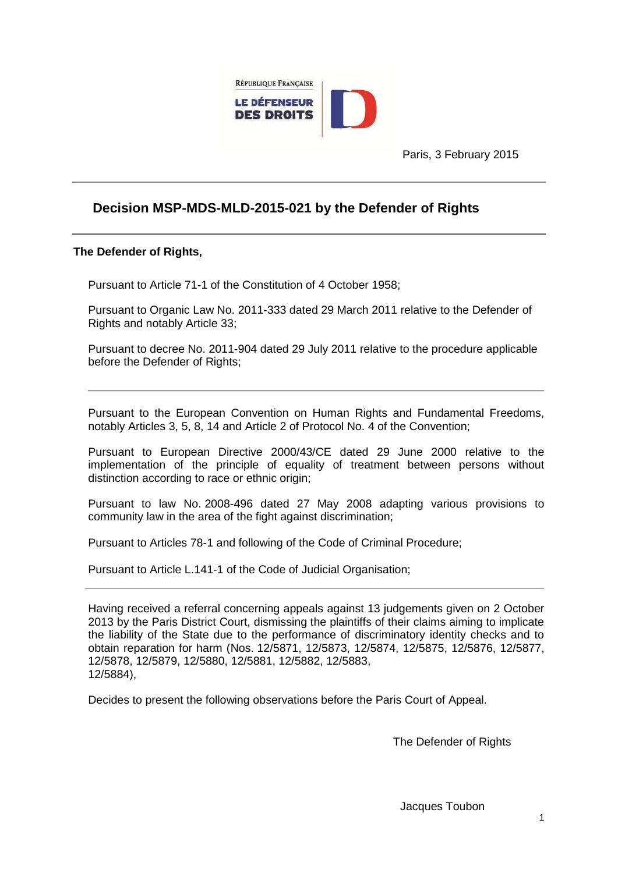

Paris, 3 February 2015

# **Decision MSP-MDS-MLD-2015-021 by the Defender of Rights**

## **The Defender of Rights,**

Pursuant to Article 71-1 of the Constitution of 4 October 1958;

Pursuant to Organic Law No. 2011-333 dated 29 March 2011 relative to the Defender of Rights and notably Article 33;

Pursuant to decree No. 2011-904 dated 29 July 2011 relative to the procedure applicable before the Defender of Rights;

Pursuant to the European Convention on Human Rights and Fundamental Freedoms, notably Articles 3, 5, 8, 14 and Article 2 of Protocol No. 4 of the Convention;

Pursuant to European Directive 2000/43/CE dated 29 June 2000 relative to the implementation of the principle of equality of treatment between persons without distinction according to race or ethnic origin;

Pursuant to law No. 2008-496 dated 27 May 2008 adapting various provisions to community law in the area of the fight against discrimination;

Pursuant to Articles 78-1 and following of the Code of Criminal Procedure;

Pursuant to Article L.141-1 of the Code of Judicial Organisation;

Having received a referral concerning appeals against 13 judgements given on 2 October 2013 by the Paris District Court, dismissing the plaintiffs of their claims aiming to implicate the liability of the State due to the performance of discriminatory identity checks and to obtain reparation for harm (Nos. 12/5871, 12/5873, 12/5874, 12/5875, 12/5876, 12/5877, 12/5878, 12/5879, 12/5880, 12/5881, 12/5882, 12/5883, 12/5884),

Decides to present the following observations before the Paris Court of Appeal.

The Defender of Rights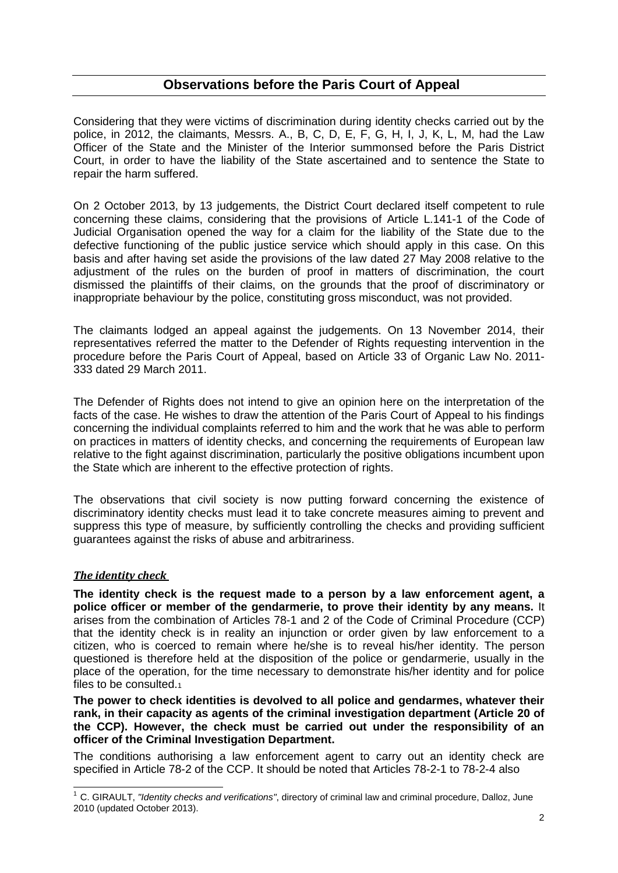# **Observations before the Paris Court of Appeal**

Considering that they were victims of discrimination during identity checks carried out by the police, in 2012, the claimants, Messrs. A., B, C, D, E, F, G, H, I, J, K, L, M, had the Law Officer of the State and the Minister of the Interior summonsed before the Paris District Court, in order to have the liability of the State ascertained and to sentence the State to repair the harm suffered.

On 2 October 2013, by 13 judgements, the District Court declared itself competent to rule concerning these claims, considering that the provisions of Article L.141-1 of the Code of Judicial Organisation opened the way for a claim for the liability of the State due to the defective functioning of the public justice service which should apply in this case. On this basis and after having set aside the provisions of the law dated 27 May 2008 relative to the adjustment of the rules on the burden of proof in matters of discrimination, the court dismissed the plaintiffs of their claims, on the grounds that the proof of discriminatory or inappropriate behaviour by the police, constituting gross misconduct, was not provided.

The claimants lodged an appeal against the judgements. On 13 November 2014, their representatives referred the matter to the Defender of Rights requesting intervention in the procedure before the Paris Court of Appeal, based on Article 33 of Organic Law No. 2011- 333 dated 29 March 2011.

The Defender of Rights does not intend to give an opinion here on the interpretation of the facts of the case. He wishes to draw the attention of the Paris Court of Appeal to his findings concerning the individual complaints referred to him and the work that he was able to perform on practices in matters of identity checks, and concerning the requirements of European law relative to the fight against discrimination, particularly the positive obligations incumbent upon the State which are inherent to the effective protection of rights.

The observations that civil society is now putting forward concerning the existence of discriminatory identity checks must lead it to take concrete measures aiming to prevent and suppress this type of measure, by sufficiently controlling the checks and providing sufficient guarantees against the risks of abuse and arbitrariness.

## *The identity check*

**The identity check is the request made to a person by a law enforcement agent, a police officer or member of the gendarmerie, to prove their identity by any means.** It arises from the combination of Articles 78-1 and 2 of the Code of Criminal Procedure (CCP) that the identity check is in reality an injunction or order given by law enforcement to a citizen, who is coerced to remain where he/she is to reveal his/her identity. The person questioned is therefore held at the disposition of the police or gendarmerie, usually in the place of the operation, for the time necessary to demonstrate his/her identity and for police files to be consulted.<sup>1</sup>

**The power to check identities is devolved to all police and gendarmes, whatever their rank, in their capacity as agents of the criminal investigation department (Article 20 of the CCP). However, the check must be carried out under the responsibility of an officer of the Criminal Investigation Department.**

The conditions authorising a law enforcement agent to carry out an identity check are specified in Article 78-2 of the CCP. It should be noted that Articles 78-2-1 to 78-2-4 also

<sup>1</sup> C. GIRAULT, *"Identity checks and verifications"*, directory of criminal law and criminal procedure, Dalloz, June 2010 (updated October 2013).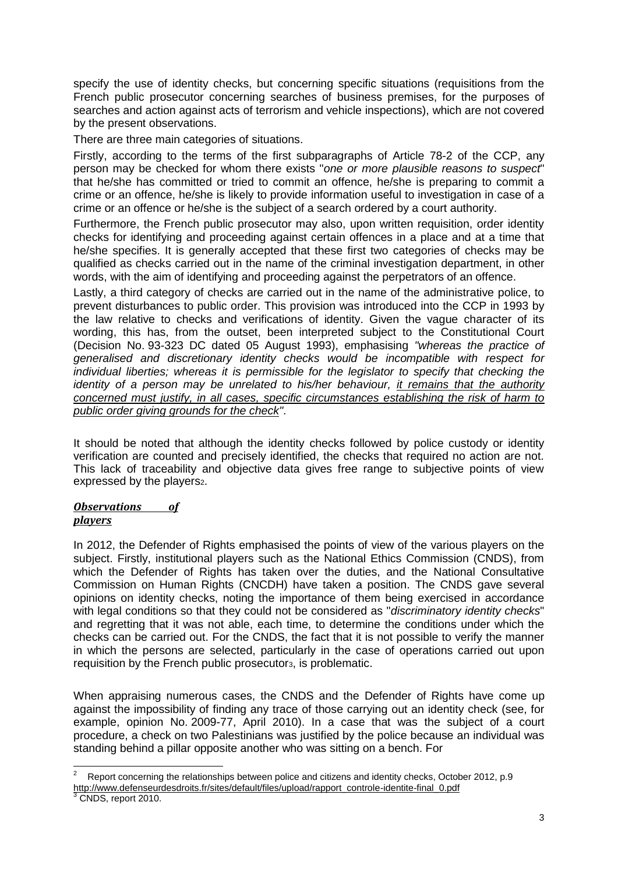specify the use of identity checks, but concerning specific situations (requisitions from the French public prosecutor concerning searches of business premises, for the purposes of searches and action against acts of terrorism and vehicle inspections), which are not covered by the present observations.

There are three main categories of situations.

Firstly, according to the terms of the first subparagraphs of Article 78-2 of the CCP, any person may be checked for whom there exists "*one or more plausible reasons to suspect*" that he/she has committed or tried to commit an offence, he/she is preparing to commit a crime or an offence, he/she is likely to provide information useful to investigation in case of a crime or an offence or he/she is the subject of a search ordered by a court authority.

Furthermore, the French public prosecutor may also, upon written requisition, order identity checks for identifying and proceeding against certain offences in a place and at a time that he/she specifies. It is generally accepted that these first two categories of checks may be qualified as checks carried out in the name of the criminal investigation department, in other words, with the aim of identifying and proceeding against the perpetrators of an offence.

Lastly, a third category of checks are carried out in the name of the administrative police, to prevent disturbances to public order. This provision was introduced into the CCP in 1993 by the law relative to checks and verifications of identity. Given the vague character of its wording, this has, from the outset, been interpreted subject to the Constitutional Court (Decision No. 93-323 DC dated 05 August 1993), emphasising *"whereas the practice of generalised and discretionary identity checks would be incompatible with respect for individual liberties; whereas it is permissible for the legislator to specify that checking the identity of a person may be unrelated to his/her behaviour, it remains that the authority concerned must justify, in all cases, specific circumstances establishing the risk of harm to public order giving grounds for the check"*.

It should be noted that although the identity checks followed by police custody or identity verification are counted and precisely identified, the checks that required no action are not. This lack of traceability and objective data gives free range to subjective points of view expressed by the players2.

#### *Observations of players*

In 2012, the Defender of Rights emphasised the points of view of the various players on the subject. Firstly, institutional players such as the National Ethics Commission (CNDS), from which the Defender of Rights has taken over the duties, and the National Consultative Commission on Human Rights (CNCDH) have taken a position. The CNDS gave several opinions on identity checks, noting the importance of them being exercised in accordance with legal conditions so that they could not be considered as "*discriminatory identity checks*" and regretting that it was not able, each time, to determine the conditions under which the checks can be carried out. For the CNDS, the fact that it is not possible to verify the manner in which the persons are selected, particularly in the case of operations carried out upon requisition by the French public prosecutor<sub>3</sub>, is problematic.

When appraising numerous cases, the CNDS and the Defender of Rights have come up against the impossibility of finding any trace of those carrying out an identity check (see, for example, opinion No. 2009-77, April 2010). In a case that was the subject of a court procedure, a check on two Palestinians was justified by the police because an individual was standing behind a pillar opposite another who was sitting on a bench. For

<sup>2</sup> Report concerning the relationships between police and citizens and identity checks, October 2012, p.9 [http://www.defenseurdesdroits.fr/sites/default/files/upload/rapport\\_controle-identite-final\\_0.pdf](http://www.defenseurdesdroits.fr/sites/default/files/upload/rapport_controle-identite-final_0.pdf) CNDS, report 2010.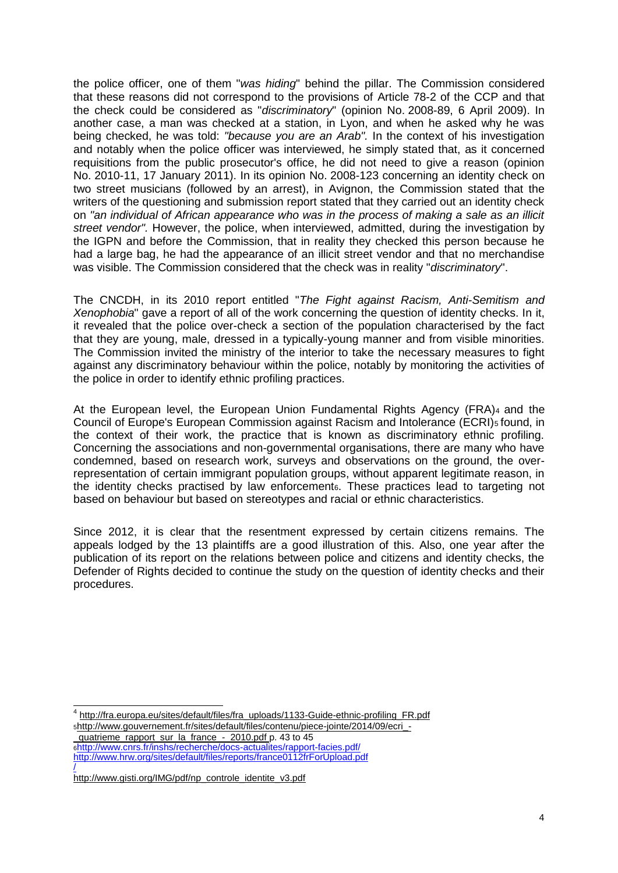the police officer, one of them "*was hiding*" behind the pillar. The Commission considered that these reasons did not correspond to the provisions of Article 78-2 of the CCP and that the check could be considered as "*discriminatory*" (opinion No. 2008-89, 6 April 2009). In another case, a man was checked at a station, in Lyon, and when he asked why he was being checked, he was told: *"because you are an Arab".* In the context of his investigation and notably when the police officer was interviewed, he simply stated that, as it concerned requisitions from the public prosecutor's office, he did not need to give a reason (opinion No. 2010-11, 17 January 2011). In its opinion No. 2008-123 concerning an identity check on two street musicians (followed by an arrest), in Avignon, the Commission stated that the writers of the questioning and submission report stated that they carried out an identity check on *"an individual of African appearance who was in the process of making a sale as an illicit street vendor".* However, the police, when interviewed, admitted, during the investigation by the IGPN and before the Commission, that in reality they checked this person because he had a large bag, he had the appearance of an illicit street vendor and that no merchandise was visible. The Commission considered that the check was in reality "*discriminatory*".

The CNCDH, in its 2010 report entitled "*The Fight against Racism, Anti-Semitism and Xenophobia*" gave a report of all of the work concerning the question of identity checks. In it, it revealed that the police over-check a section of the population characterised by the fact that they are young, male, dressed in a typically-young manner and from visible minorities. The Commission invited the ministry of the interior to take the necessary measures to fight against any discriminatory behaviour within the police, notably by monitoring the activities of the police in order to identify ethnic profiling practices.

At the European level, the European Union Fundamental Rights Agency (FRA)4 and the Council of Europe's European Commission against Racism and Intolerance (ECRI)<sub>5</sub> found, in the context of their work, the practice that is known as discriminatory ethnic profiling. Concerning the associations and non-governmental organisations, there are many who have condemned, based on research work, surveys and observations on the ground, the overrepresentation of certain immigrant population groups, without apparent legitimate reason, in the identity checks practised by law enforcement6. These practices lead to targeting not based on behaviour but based on stereotypes and racial or ethnic characteristics.

Since 2012, it is clear that the resentment expressed by certain citizens remains. The appeals lodged by the 13 plaintiffs are a good illustration of this. Also, one year after the publication of its report on the relations between police and citizens and identity checks, the Defender of Rights decided to continue the study on the question of identity checks and their procedures.

<sup>4</sup> [http://fra.europa.eu/sites/default/files/fra\\_uploads/1133-Guide-ethnic-profiling\\_FR.pdf](http://fra.europa.eu/sites/default/files/fra_uploads/1133-Guide-ethnic-profiling_FR.pdf) <sup>5</sup>[http://www.gouvernement.fr/sites/default/files/contenu/piece-jointe/2014/09/ecri\\_](http://www.gouvernement.fr/sites/default/files/contenu/piece-jointe/2014/09/ecri_-_quatrieme_rapport_sur_la_france_-_2010.pdf) quatrieme\_rapport\_sur\_la\_france\_-\_2010.pdf p. 43 to 45 <sup>6</sup><http://www.cnrs.fr/inshs/recherche/docs-actualites/rapport-facies.pdf/> [http://www.hrw.org/sites/default/files/reports/france0112frForUpload.pdf](http://www.hrw.org/sites/default/files/reports/france0112frForUpload.pdf/)

[<sup>/</sup>](http://www.hrw.org/sites/default/files/reports/france0112frForUpload.pdf/) [http://www.gisti.org/IMG/pdf/np\\_controle\\_identite\\_v3.pdf](http://www.gisti.org/IMG/pdf/np_controle_identite_v3.pdf)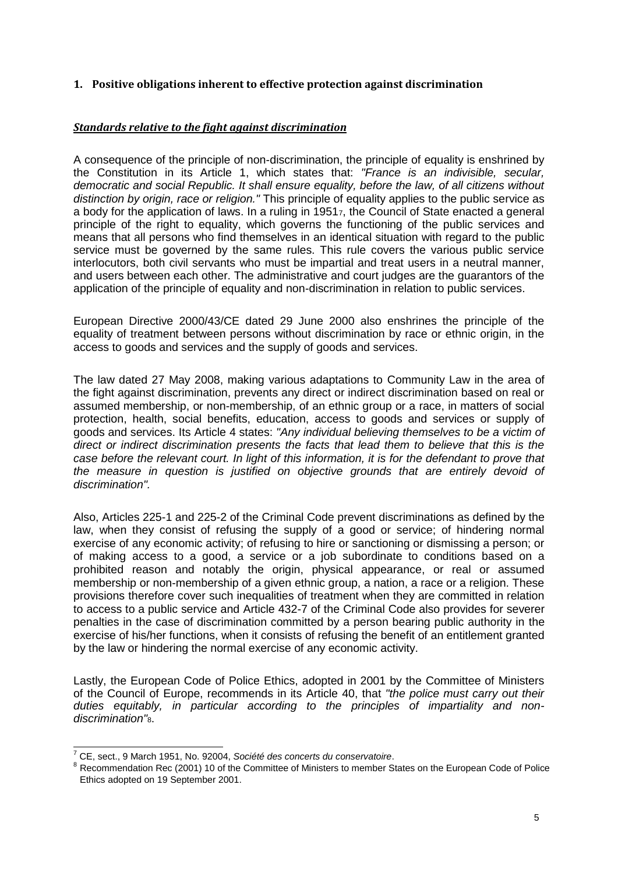## **1. Positive obligations inherent to effective protection against discrimination**

#### *Standards relative to the fight against discrimination*

A consequence of the principle of non-discrimination, the principle of equality is enshrined by the Constitution in its Article 1, which states that: *"France is an indivisible, secular, democratic and social Republic. It shall ensure equality, before the law, of all citizens without distinction by origin, race or religion."* This principle of equality applies to the public service as a body for the application of laws. In a ruling in 19517, the Council of State enacted a general principle of the right to equality, which governs the functioning of the public services and means that all persons who find themselves in an identical situation with regard to the public service must be governed by the same rules. This rule covers the various public service interlocutors, both civil servants who must be impartial and treat users in a neutral manner, and users between each other. The administrative and court judges are the guarantors of the application of the principle of equality and non-discrimination in relation to public services.

European Directive 2000/43/CE dated 29 June 2000 also enshrines the principle of the equality of treatment between persons without discrimination by race or ethnic origin, in the access to goods and services and the supply of goods and services.

The law dated 27 May 2008, making various adaptations to Community Law in the area of the fight against discrimination, prevents any direct or indirect discrimination based on real or assumed membership, or non-membership, of an ethnic group or a race, in matters of social protection, health, social benefits, education, access to goods and services or supply of goods and services. Its Article 4 states: *"Any individual believing themselves to be a victim of direct or indirect discrimination presents the facts that lead them to believe that this is the case before the relevant court. In light of this information, it is for the defendant to prove that the measure in question is justified on objective grounds that are entirely devoid of discrimination".*

Also, Articles 225-1 and 225-2 of the Criminal Code prevent discriminations as defined by the law, when they consist of refusing the supply of a good or service; of hindering normal exercise of any economic activity; of refusing to hire or sanctioning or dismissing a person; or of making access to a good, a service or a job subordinate to conditions based on a prohibited reason and notably the origin, physical appearance, or real or assumed membership or non-membership of a given ethnic group, a nation, a race or a religion. These provisions therefore cover such inequalities of treatment when they are committed in relation to access to a public service and Article 432-7 of the Criminal Code also provides for severer penalties in the case of discrimination committed by a person bearing public authority in the exercise of his/her functions, when it consists of refusing the benefit of an entitlement granted by the law or hindering the normal exercise of any economic activity.

Lastly, the European Code of Police Ethics, adopted in 2001 by the Committee of Ministers of the Council of Europe, recommends in its Article 40, that *"the police must carry out their duties equitably, in particular according to the principles of impartiality and nondiscrimination"*8.

<sup>7</sup> CE, sect., 9 March 1951, No. 92004, *Société des concerts du conservatoire*.

<sup>&</sup>lt;sup>8</sup> Recommendation Rec (2001) 10 of the Committee of Ministers to member States on the European Code of Police Ethics adopted on 19 September 2001.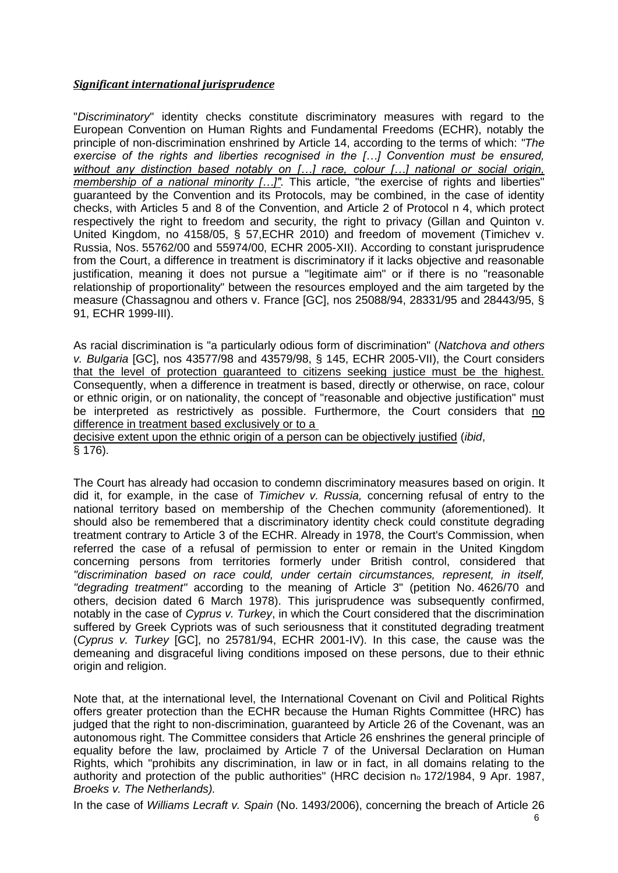## *Significant international jurisprudence*

"*Discriminatory*" identity checks constitute discriminatory measures with regard to the European Convention on Human Rights and Fundamental Freedoms (ECHR), notably the principle of non-discrimination enshrined by Article 14, according to the terms of which: *"The exercise of the rights and liberties recognised in the […] Convention must be ensured, without any distinction based notably on […] race, colour […] national or social origin, membership of a national minority […]"*. This article, "the exercise of rights and liberties" guaranteed by the Convention and its Protocols, may be combined, in the case of identity checks, with Articles 5 and 8 of the Convention, and Article 2 of Protocol n 4, which protect respectively the right to freedom and security, the right to privacy (Gillan and Quinton v. United Kingdom, no 4158/05, § 57,ECHR 2010) and freedom of movement (Timichev v. Russia, Nos. 55762/00 and 55974/00, ECHR 2005-XII). According to constant jurisprudence from the Court, a difference in treatment is discriminatory if it lacks objective and reasonable justification, meaning it does not pursue a "legitimate aim" or if there is no "reasonable relationship of proportionality" between the resources employed and the aim targeted by the measure (Chassagnou and others v. France [GC], nos 25088/94, 28331/95 and 28443/95, § 91, ECHR 1999-III).

As racial discrimination is "a particularly odious form of discrimination" (*Natchova and others v. Bulgaria* [GC], nos 43577/98 and 43579/98, § 145, ECHR 2005-VII), the Court considers that the level of protection guaranteed to citizens seeking justice must be the highest. Consequently, when a difference in treatment is based, directly or otherwise, on race, colour or ethnic origin, or on nationality, the concept of "reasonable and objective justification" must be interpreted as restrictively as possible. Furthermore, the Court considers that no difference in treatment based exclusively or to a

decisive extent upon the ethnic origin of a person can be objectively justified (*ibid*, § 176).

The Court has already had occasion to condemn discriminatory measures based on origin. It did it, for example, in the case of *Timichev v. Russia,* concerning refusal of entry to the national territory based on membership of the Chechen community (aforementioned). It should also be remembered that a discriminatory identity check could constitute degrading treatment contrary to Article 3 of the ECHR. Already in 1978, the Court's Commission, when referred the case of a refusal of permission to enter or remain in the United Kingdom concerning persons from territories formerly under British control, considered that *"discrimination based on race could, under certain circumstances, represent, in itself, "degrading treatment"* according to the meaning of Article 3" (petition No. 4626/70 and others, decision dated 6 March 1978). This jurisprudence was subsequently confirmed, notably in the case of *Cyprus v. Turkey*, in which the Court considered that the discrimination suffered by Greek Cypriots was of such seriousness that it constituted degrading treatment (*Cyprus v. Turkey* [GC], no 25781/94, ECHR 2001-IV). In this case, the cause was the demeaning and disgraceful living conditions imposed on these persons, due to their ethnic origin and religion.

Note that, at the international level, the International Covenant on Civil and Political Rights offers greater protection than the ECHR because the Human Rights Committee (HRC) has judged that the right to non-discrimination, guaranteed by Article 26 of the Covenant, was an autonomous right. The Committee considers that Article 26 enshrines the general principle of equality before the law, proclaimed by Article 7 of the Universal Declaration on Human Rights, which "prohibits any discrimination, in law or in fact, in all domains relating to the authority and protection of the public authorities" (HRC decision no 172/1984, 9 Apr. 1987, *Broeks v. The Netherlands).*

In the case of *Williams Lecraft v. Spain* (No. 1493/2006), concerning the breach of Article 26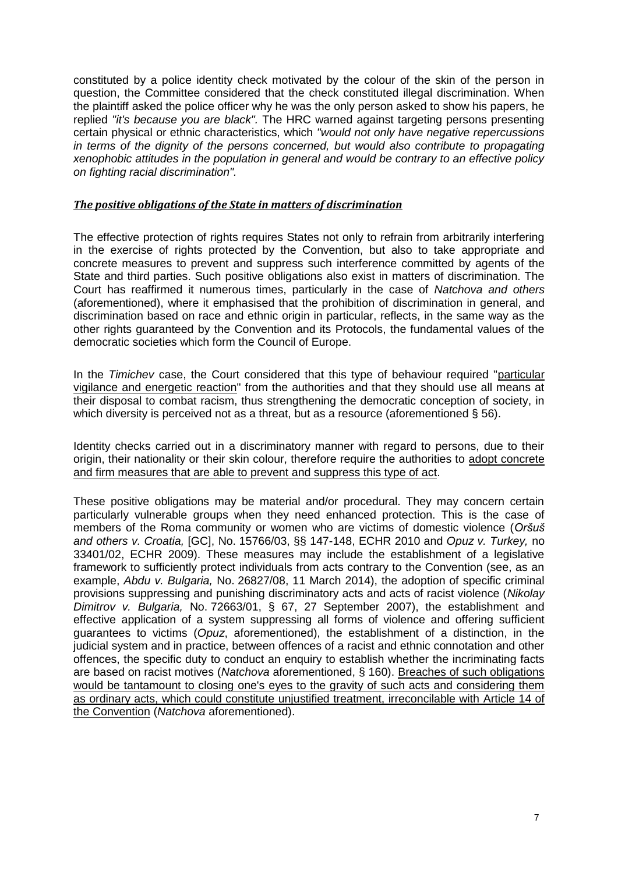constituted by a police identity check motivated by the colour of the skin of the person in question, the Committee considered that the check constituted illegal discrimination. When the plaintiff asked the police officer why he was the only person asked to show his papers, he replied *"it's because you are black".* The HRC warned against targeting persons presenting certain physical or ethnic characteristics, which *"would not only have negative repercussions*  in terms of the dignity of the persons concerned, but would also contribute to propagating *xenophobic attitudes in the population in general and would be contrary to an effective policy on fighting racial discrimination".*

## *The positive obligations of the State in matters of discrimination*

The effective protection of rights requires States not only to refrain from arbitrarily interfering in the exercise of rights protected by the Convention, but also to take appropriate and concrete measures to prevent and suppress such interference committed by agents of the State and third parties. Such positive obligations also exist in matters of discrimination. The Court has reaffirmed it numerous times, particularly in the case of *Natchova and others*  (aforementioned), where it emphasised that the prohibition of discrimination in general, and discrimination based on race and ethnic origin in particular, reflects, in the same way as the other rights guaranteed by the Convention and its Protocols, the fundamental values of the democratic societies which form the Council of Europe.

In the *Timichev* case, the Court considered that this type of behaviour required "particular vigilance and energetic reaction" from the authorities and that they should use all means at their disposal to combat racism, thus strengthening the democratic conception of society, in which diversity is perceived not as a threat, but as a resource (aforementioned § 56).

Identity checks carried out in a discriminatory manner with regard to persons, due to their origin, their nationality or their skin colour, therefore require the authorities to adopt concrete and firm measures that are able to prevent and suppress this type of act.

These positive obligations may be material and/or procedural. They may concern certain particularly vulnerable groups when they need enhanced protection. This is the case of members of the Roma community or women who are victims of domestic violence (*Oršuš and others v. Croatia,* [GC], No. 15766/03, §§ 147-148, ECHR 2010 and *Opuz v. Turkey,* no 33401/02, ECHR 2009). These measures may include the establishment of a legislative framework to sufficiently protect individuals from acts contrary to the Convention (see, as an example, *Abdu v. Bulgaria,* No. 26827/08, 11 March 2014), the adoption of specific criminal provisions suppressing and punishing discriminatory acts and acts of racist violence (*Nikolay Dimitrov v. Bulgaria,* No. 72663/01, § 67, 27 September 2007), the establishment and effective application of a system suppressing all forms of violence and offering sufficient guarantees to victims (*Opuz*, aforementioned), the establishment of a distinction, in the judicial system and in practice, between offences of a racist and ethnic connotation and other offences, the specific duty to conduct an enquiry to establish whether the incriminating facts are based on racist motives (*Natchova* aforementioned, § 160). Breaches of such obligations would be tantamount to closing one's eyes to the gravity of such acts and considering them as ordinary acts, which could constitute unjustified treatment, irreconcilable with Article 14 of the Convention (*Natchova* aforementioned).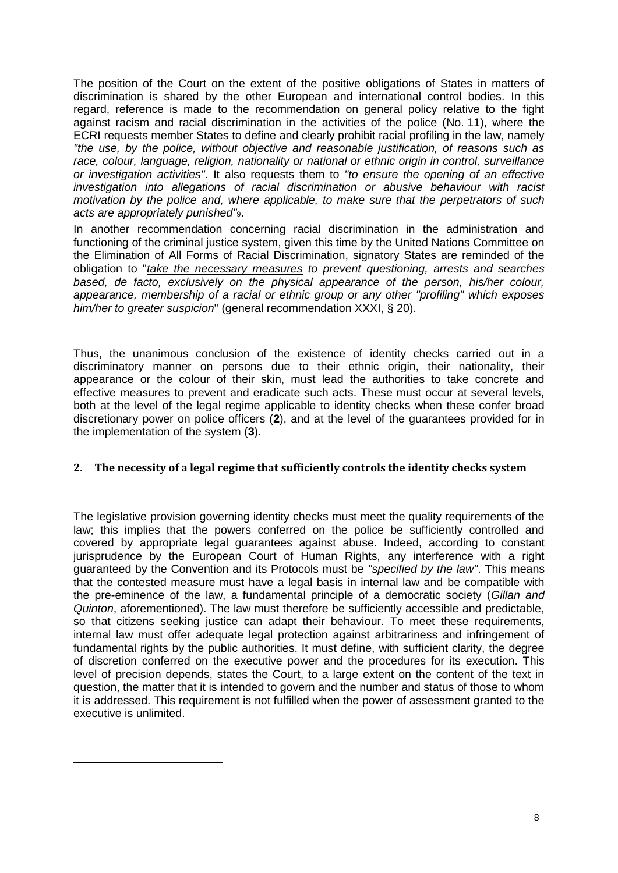The position of the Court on the extent of the positive obligations of States in matters of discrimination is shared by the other European and international control bodies. In this regard, reference is made to the recommendation on general policy relative to the fight against racism and racial discrimination in the activities of the police (No. 11), where the ECRI requests member States to define and clearly prohibit racial profiling in the law, namely *"the use, by the police, without objective and reasonable justification, of reasons such as race, colour, language, religion, nationality or national or ethnic origin in control, surveillance or investigation activities".* It also requests them to *"to ensure the opening of an effective investigation into allegations of racial discrimination or abusive behaviour with racist motivation by the police and, where applicable, to make sure that the perpetrators of such acts are appropriately punished"*9.

In another recommendation concerning racial discrimination in the administration and functioning of the criminal justice system, given this time by the United Nations Committee on the Elimination of All Forms of Racial Discrimination, signatory States are reminded of the obligation to "*take the necessary measures to prevent questioning, arrests and searches based, de facto, exclusively on the physical appearance of the person, his/her colour, appearance, membership of a racial or ethnic group or any other "profiling" which exposes him/her to greater suspicion*" (general recommendation XXXI, § 20).

Thus, the unanimous conclusion of the existence of identity checks carried out in a discriminatory manner on persons due to their ethnic origin, their nationality, their appearance or the colour of their skin, must lead the authorities to take concrete and effective measures to prevent and eradicate such acts. These must occur at several levels, both at the level of the legal regime applicable to identity checks when these confer broad discretionary power on police officers (**2**), and at the level of the guarantees provided for in the implementation of the system (**3**).

## **2. The necessity of a legal regime that sufficiently controls the identity checks system**

The legislative provision governing identity checks must meet the quality requirements of the law; this implies that the powers conferred on the police be sufficiently controlled and covered by appropriate legal guarantees against abuse. Indeed, according to constant jurisprudence by the European Court of Human Rights, any interference with a right guaranteed by the Convention and its Protocols must be *"specified by the law"*. This means that the contested measure must have a legal basis in internal law and be compatible with the pre-eminence of the law, a fundamental principle of a democratic society (*Gillan and Quinton*, aforementioned). The law must therefore be sufficiently accessible and predictable, so that citizens seeking justice can adapt their behaviour. To meet these requirements, internal law must offer adequate legal protection against arbitrariness and infringement of fundamental rights by the public authorities. It must define, with sufficient clarity, the degree of discretion conferred on the executive power and the procedures for its execution. This level of precision depends, states the Court, to a large extent on the content of the text in question, the matter that it is intended to govern and the number and status of those to whom it is addressed. This requirement is not fulfilled when the power of assessment granted to the executive is unlimited.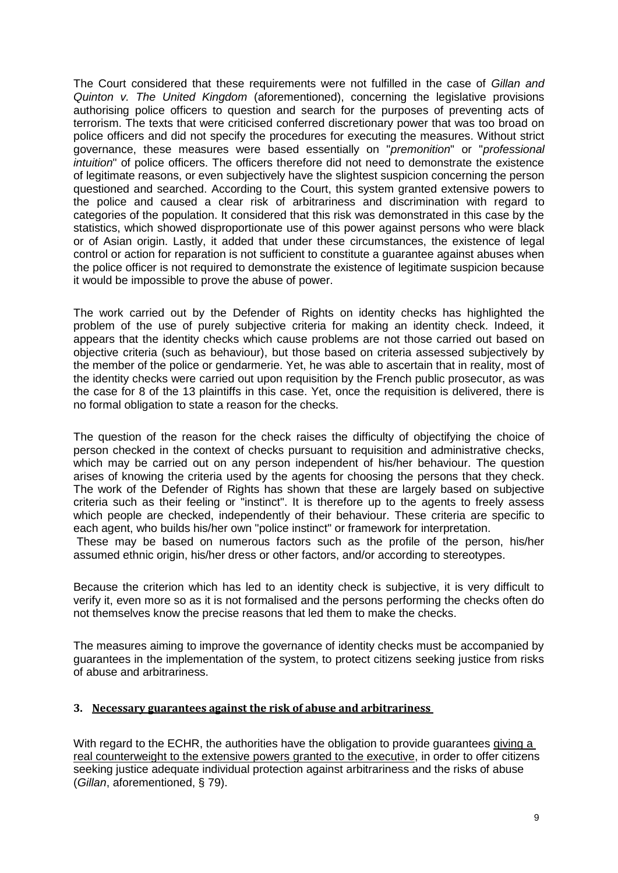The Court considered that these requirements were not fulfilled in the case of *Gillan and Quinton v. The United Kingdom* (aforementioned), concerning the legislative provisions authorising police officers to question and search for the purposes of preventing acts of terrorism. The texts that were criticised conferred discretionary power that was too broad on police officers and did not specify the procedures for executing the measures. Without strict governance, these measures were based essentially on "*premonition*" or "*professional intuition*" of police officers. The officers therefore did not need to demonstrate the existence of legitimate reasons, or even subjectively have the slightest suspicion concerning the person questioned and searched. According to the Court, this system granted extensive powers to the police and caused a clear risk of arbitrariness and discrimination with regard to categories of the population. It considered that this risk was demonstrated in this case by the statistics, which showed disproportionate use of this power against persons who were black or of Asian origin. Lastly, it added that under these circumstances, the existence of legal control or action for reparation is not sufficient to constitute a guarantee against abuses when the police officer is not required to demonstrate the existence of legitimate suspicion because it would be impossible to prove the abuse of power.

The work carried out by the Defender of Rights on identity checks has highlighted the problem of the use of purely subjective criteria for making an identity check. Indeed, it appears that the identity checks which cause problems are not those carried out based on objective criteria (such as behaviour), but those based on criteria assessed subjectively by the member of the police or gendarmerie. Yet, he was able to ascertain that in reality, most of the identity checks were carried out upon requisition by the French public prosecutor, as was the case for 8 of the 13 plaintiffs in this case. Yet, once the requisition is delivered, there is no formal obligation to state a reason for the checks.

The question of the reason for the check raises the difficulty of objectifying the choice of person checked in the context of checks pursuant to requisition and administrative checks, which may be carried out on any person independent of his/her behaviour. The question arises of knowing the criteria used by the agents for choosing the persons that they check. The work of the Defender of Rights has shown that these are largely based on subjective criteria such as their feeling or "instinct". It is therefore up to the agents to freely assess which people are checked, independently of their behaviour. These criteria are specific to each agent, who builds his/her own "police instinct" or framework for interpretation.

These may be based on numerous factors such as the profile of the person, his/her assumed ethnic origin, his/her dress or other factors, and/or according to stereotypes.

Because the criterion which has led to an identity check is subjective, it is very difficult to verify it, even more so as it is not formalised and the persons performing the checks often do not themselves know the precise reasons that led them to make the checks.

The measures aiming to improve the governance of identity checks must be accompanied by guarantees in the implementation of the system, to protect citizens seeking justice from risks of abuse and arbitrariness.

## **3. Necessary guarantees against the risk of abuse and arbitrariness**

With regard to the ECHR, the authorities have the obligation to provide guarantees giving a real counterweight to the extensive powers granted to the executive, in order to offer citizens seeking justice adequate individual protection against arbitrariness and the risks of abuse (*Gillan*, aforementioned, § 79).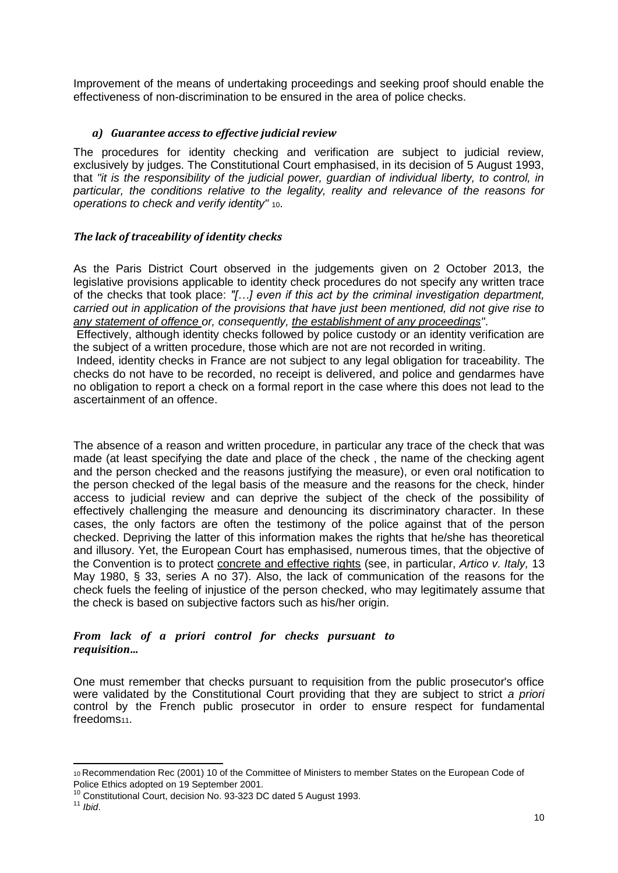Improvement of the means of undertaking proceedings and seeking proof should enable the effectiveness of non-discrimination to be ensured in the area of police checks.

## *a) Guarantee access to effective judicial review*

The procedures for identity checking and verification are subject to judicial review, exclusively by judges. The Constitutional Court emphasised, in its decision of 5 August 1993, that *"it is the responsibility of the judicial power, guardian of individual liberty, to control, in particular, the conditions relative to the legality, reality and relevance of the reasons for operations to check and verify identity"* <sup>10</sup>.

#### *The lack of traceability of identity checks*

As the Paris District Court observed in the judgements given on 2 October 2013, the legislative provisions applicable to identity check procedures do not specify any written trace of the checks that took place: *"[…] even if this act by the criminal investigation department, carried out in application of the provisions that have just been mentioned, did not give rise to any statement of offence or, consequently, the establishment of any proceedings"*.

Effectively, although identity checks followed by police custody or an identity verification are the subject of a written procedure, those which are not are not recorded in writing.

Indeed, identity checks in France are not subject to any legal obligation for traceability. The checks do not have to be recorded, no receipt is delivered, and police and gendarmes have no obligation to report a check on a formal report in the case where this does not lead to the ascertainment of an offence.

The absence of a reason and written procedure, in particular any trace of the check that was made (at least specifying the date and place of the check , the name of the checking agent and the person checked and the reasons justifying the measure), or even oral notification to the person checked of the legal basis of the measure and the reasons for the check, hinder access to judicial review and can deprive the subject of the check of the possibility of effectively challenging the measure and denouncing its discriminatory character. In these cases, the only factors are often the testimony of the police against that of the person checked. Depriving the latter of this information makes the rights that he/she has theoretical and illusory. Yet, the European Court has emphasised, numerous times, that the objective of the Convention is to protect concrete and effective rights (see, in particular, *Artico v. Italy,* 13 May 1980, § 33, series A no 37). Also, the lack of communication of the reasons for the check fuels the feeling of injustice of the person checked, who may legitimately assume that the check is based on subjective factors such as his/her origin.

#### *From lack of a priori control for checks pursuant to requisition…*

One must remember that checks pursuant to requisition from the public prosecutor's office were validated by the Constitutional Court providing that they are subject to strict *a priori* control by the French public prosecutor in order to ensure respect for fundamental freedoms<sub>11</sub>.

<sup>10</sup> Recommendation Rec (2001) 10 of the Committee of Ministers to member States on the European Code of Police Ethics adopted on 19 September 2001.

 $10$  Constitutional Court, decision No. 93-323 DC dated 5 August 1993.

<sup>11</sup> *Ibid*.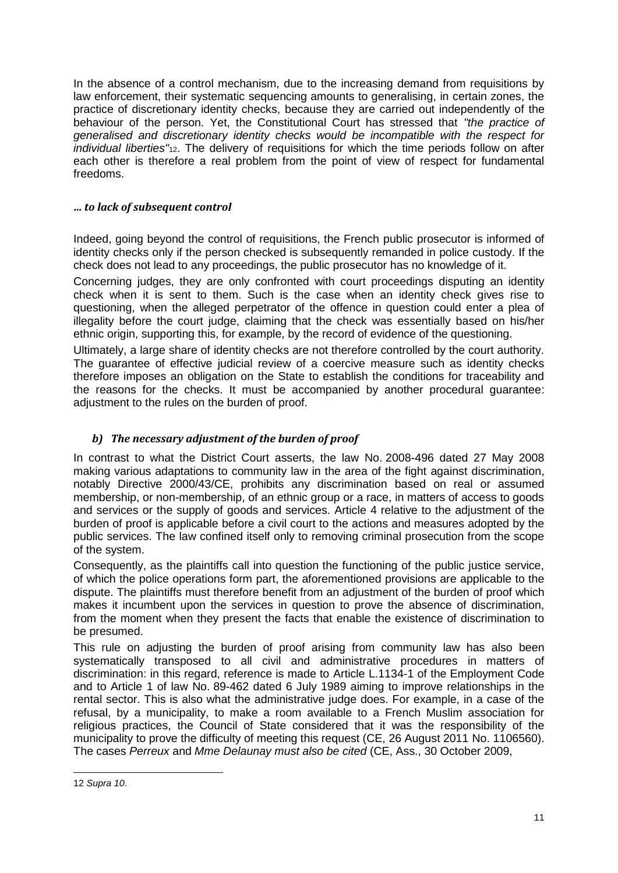In the absence of a control mechanism, due to the increasing demand from requisitions by law enforcement, their systematic sequencing amounts to generalising, in certain zones, the practice of discretionary identity checks, because they are carried out independently of the behaviour of the person. Yet, the Constitutional Court has stressed that *"the practice of generalised and discretionary identity checks would be incompatible with the respect for individual liberties"*12. The delivery of requisitions for which the time periods follow on after each other is therefore a real problem from the point of view of respect for fundamental freedoms.

## *… to lack of subsequent control*

Indeed, going beyond the control of requisitions, the French public prosecutor is informed of identity checks only if the person checked is subsequently remanded in police custody. If the check does not lead to any proceedings, the public prosecutor has no knowledge of it.

Concerning judges, they are only confronted with court proceedings disputing an identity check when it is sent to them. Such is the case when an identity check gives rise to questioning, when the alleged perpetrator of the offence in question could enter a plea of illegality before the court judge, claiming that the check was essentially based on his/her ethnic origin, supporting this, for example, by the record of evidence of the questioning.

Ultimately, a large share of identity checks are not therefore controlled by the court authority. The guarantee of effective judicial review of a coercive measure such as identity checks therefore imposes an obligation on the State to establish the conditions for traceability and the reasons for the checks. It must be accompanied by another procedural guarantee: adjustment to the rules on the burden of proof.

## *b) The necessary adjustment of the burden of proof*

In contrast to what the District Court asserts, the law No. 2008-496 dated 27 May 2008 making various adaptations to community law in the area of the fight against discrimination, notably Directive 2000/43/CE, prohibits any discrimination based on real or assumed membership, or non-membership, of an ethnic group or a race, in matters of access to goods and services or the supply of goods and services. Article 4 relative to the adjustment of the burden of proof is applicable before a civil court to the actions and measures adopted by the public services. The law confined itself only to removing criminal prosecution from the scope of the system.

Consequently, as the plaintiffs call into question the functioning of the public justice service, of which the police operations form part, the aforementioned provisions are applicable to the dispute. The plaintiffs must therefore benefit from an adjustment of the burden of proof which makes it incumbent upon the services in question to prove the absence of discrimination, from the moment when they present the facts that enable the existence of discrimination to be presumed.

This rule on adjusting the burden of proof arising from community law has also been systematically transposed to all civil and administrative procedures in matters of discrimination: in this regard, reference is made to Article L.1134-1 of the Employment Code and to Article 1 of law No. 89-462 dated 6 July 1989 aiming to improve relationships in the rental sector. This is also what the administrative judge does. For example, in a case of the refusal, by a municipality, to make a room available to a French Muslim association for religious practices, the Council of State considered that it was the responsibility of the municipality to prove the difficulty of meeting this request (CE, 26 August 2011 No. 1106560). The cases *Perreux* and *Mme Delaunay must also be cited* (CE, Ass., 30 October 2009,

<sup>12</sup> *Supra 10*.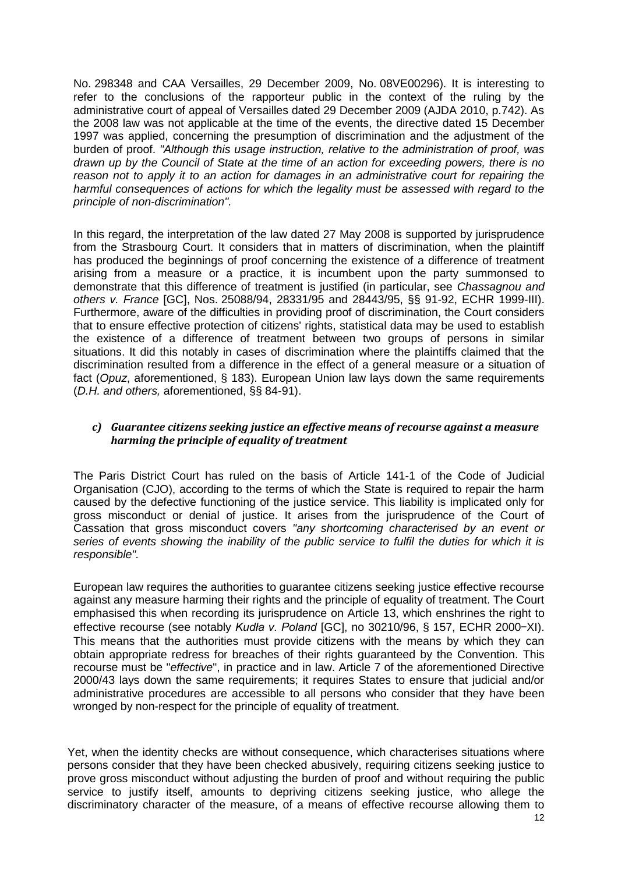No. 298348 and CAA Versailles, 29 December 2009, No. 08VE00296). It is interesting to refer to the conclusions of the rapporteur public in the context of the ruling by the administrative court of appeal of Versailles dated 29 December 2009 (AJDA 2010, p.742). As the 2008 law was not applicable at the time of the events, the directive dated 15 December 1997 was applied, concerning the presumption of discrimination and the adjustment of the burden of proof. *"Although this usage instruction, relative to the administration of proof, was drawn up by the Council of State at the time of an action for exceeding powers, there is no reason not to apply it to an action for damages in an administrative court for repairing the harmful consequences of actions for which the legality must be assessed with regard to the principle of non-discrimination".*

In this regard, the interpretation of the law dated 27 May 2008 is supported by jurisprudence from the Strasbourg Court. It considers that in matters of discrimination, when the plaintiff has produced the beginnings of proof concerning the existence of a difference of treatment arising from a measure or a practice, it is incumbent upon the party summonsed to demonstrate that this difference of treatment is justified (in particular, see *Chassagnou and others v. France* [GC], Nos. 25088/94, 28331/95 and 28443/95, §§ 91-92, ECHR 1999-III). Furthermore, aware of the difficulties in providing proof of discrimination, the Court considers that to ensure effective protection of citizens' rights, statistical data may be used to establish the existence of a difference of treatment between two groups of persons in similar situations. It did this notably in cases of discrimination where the plaintiffs claimed that the discrimination resulted from a difference in the effect of a general measure or a situation of fact (*Opuz*, aforementioned, § 183). European Union law lays down the same requirements (*D.H. and others,* aforementioned, §§ 84-91).

## *c) Guarantee citizens seeking justice an effective means of recourse against a measure harming the principle of equality of treatment*

The Paris District Court has ruled on the basis of Article 141-1 of the Code of Judicial Organisation (CJO), according to the terms of which the State is required to repair the harm caused by the defective functioning of the justice service. This liability is implicated only for gross misconduct or denial of justice. It arises from the jurisprudence of the Court of Cassation that gross misconduct covers *"any shortcoming characterised by an event or series of events showing the inability of the public service to fulfil the duties for which it is responsible".*

European law requires the authorities to guarantee citizens seeking justice effective recourse against any measure harming their rights and the principle of equality of treatment. The Court emphasised this when recording its jurisprudence on Article 13, which enshrines the right to effective recourse (see notably *Kudła v. Poland* [GC], no 30210/96, § 157, ECHR 2000-XI). This means that the authorities must provide citizens with the means by which they can obtain appropriate redress for breaches of their rights guaranteed by the Convention. This recourse must be "*effective*", in practice and in law. Article 7 of the aforementioned Directive 2000/43 lays down the same requirements; it requires States to ensure that judicial and/or administrative procedures are accessible to all persons who consider that they have been wronged by non-respect for the principle of equality of treatment.

Yet, when the identity checks are without consequence, which characterises situations where persons consider that they have been checked abusively, requiring citizens seeking justice to prove gross misconduct without adjusting the burden of proof and without requiring the public service to justify itself, amounts to depriving citizens seeking justice, who allege the discriminatory character of the measure, of a means of effective recourse allowing them to